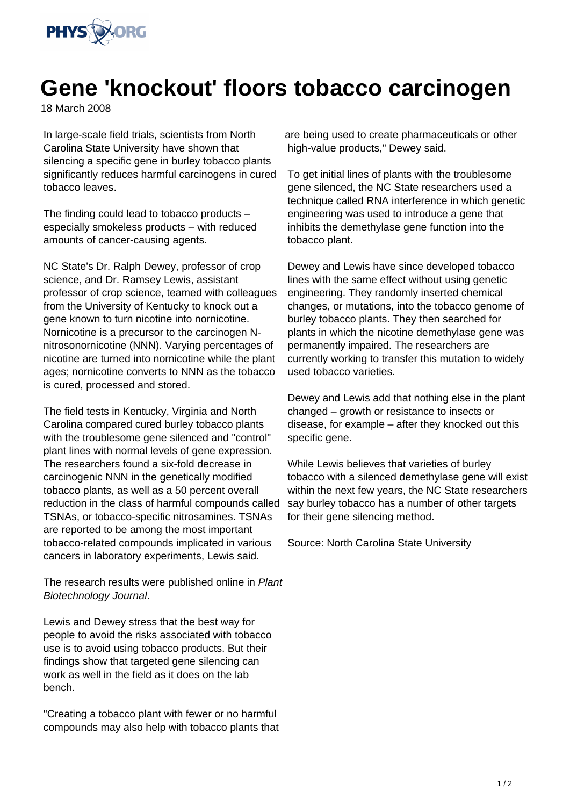

## **Gene 'knockout' floors tobacco carcinogen**

18 March 2008

In large-scale field trials, scientists from North Carolina State University have shown that silencing a specific gene in burley tobacco plants significantly reduces harmful carcinogens in cured tobacco leaves.

The finding could lead to tobacco products – especially smokeless products – with reduced amounts of cancer-causing agents.

NC State's Dr. Ralph Dewey, professor of crop science, and Dr. Ramsey Lewis, assistant professor of crop science, teamed with colleagues from the University of Kentucky to knock out a gene known to turn nicotine into nornicotine. Nornicotine is a precursor to the carcinogen Nnitrosonornicotine (NNN). Varying percentages of nicotine are turned into nornicotine while the plant ages; nornicotine converts to NNN as the tobacco is cured, processed and stored.

The field tests in Kentucky, Virginia and North Carolina compared cured burley tobacco plants with the troublesome gene silenced and "control" plant lines with normal levels of gene expression. The researchers found a six-fold decrease in carcinogenic NNN in the genetically modified tobacco plants, as well as a 50 percent overall reduction in the class of harmful compounds called TSNAs, or tobacco-specific nitrosamines. TSNAs are reported to be among the most important tobacco-related compounds implicated in various cancers in laboratory experiments, Lewis said.

The research results were published online in Plant Biotechnology Journal.

Lewis and Dewey stress that the best way for people to avoid the risks associated with tobacco use is to avoid using tobacco products. But their findings show that targeted gene silencing can work as well in the field as it does on the lab bench.

"Creating a tobacco plant with fewer or no harmful compounds may also help with tobacco plants that

are being used to create pharmaceuticals or other high-value products," Dewey said.

To get initial lines of plants with the troublesome gene silenced, the NC State researchers used a technique called RNA interference in which genetic engineering was used to introduce a gene that inhibits the demethylase gene function into the tobacco plant.

Dewey and Lewis have since developed tobacco lines with the same effect without using genetic engineering. They randomly inserted chemical changes, or mutations, into the tobacco genome of burley tobacco plants. They then searched for plants in which the nicotine demethylase gene was permanently impaired. The researchers are currently working to transfer this mutation to widely used tobacco varieties.

Dewey and Lewis add that nothing else in the plant changed – growth or resistance to insects or disease, for example – after they knocked out this specific gene.

While Lewis believes that varieties of burley tobacco with a silenced demethylase gene will exist within the next few years, the NC State researchers say burley tobacco has a number of other targets for their gene silencing method.

Source: North Carolina State University